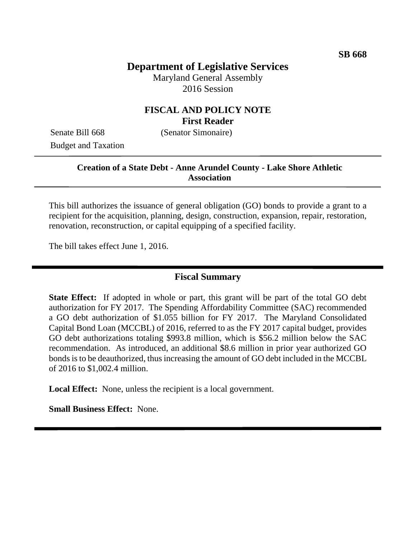# **Department of Legislative Services**

Maryland General Assembly 2016 Session

### **FISCAL AND POLICY NOTE First Reader**

Senate Bill 668 (Senator Simonaire) Budget and Taxation

### **Creation of a State Debt - Anne Arundel County - Lake Shore Athletic Association**

This bill authorizes the issuance of general obligation (GO) bonds to provide a grant to a recipient for the acquisition, planning, design, construction, expansion, repair, restoration, renovation, reconstruction, or capital equipping of a specified facility.

The bill takes effect June 1, 2016.

#### **Fiscal Summary**

**State Effect:** If adopted in whole or part, this grant will be part of the total GO debt authorization for FY 2017. The Spending Affordability Committee (SAC) recommended a GO debt authorization of \$1.055 billion for FY 2017. The Maryland Consolidated Capital Bond Loan (MCCBL) of 2016, referred to as the FY 2017 capital budget, provides GO debt authorizations totaling \$993.8 million, which is \$56.2 million below the SAC recommendation. As introduced, an additional \$8.6 million in prior year authorized GO bonds is to be deauthorized, thus increasing the amount of GO debt included in the MCCBL of 2016 to \$1,002.4 million.

**Local Effect:** None, unless the recipient is a local government.

**Small Business Effect:** None.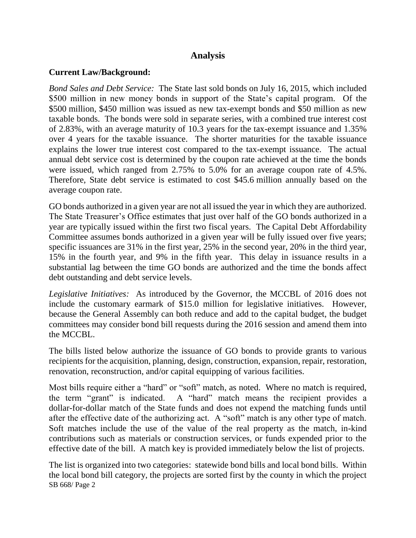### **Analysis**

### **Current Law/Background:**

*Bond Sales and Debt Service:* The State last sold bonds on July 16, 2015, which included \$500 million in new money bonds in support of the State's capital program. Of the \$500 million, \$450 million was issued as new tax-exempt bonds and \$50 million as new taxable bonds. The bonds were sold in separate series, with a combined true interest cost of 2.83%, with an average maturity of 10.3 years for the tax-exempt issuance and 1.35% over 4 years for the taxable issuance. The shorter maturities for the taxable issuance explains the lower true interest cost compared to the tax-exempt issuance. The actual annual debt service cost is determined by the coupon rate achieved at the time the bonds were issued, which ranged from 2.75% to 5.0% for an average coupon rate of 4.5%. Therefore, State debt service is estimated to cost \$45.6 million annually based on the average coupon rate.

GO bonds authorized in a given year are not all issued the year in which they are authorized. The State Treasurer's Office estimates that just over half of the GO bonds authorized in a year are typically issued within the first two fiscal years. The Capital Debt Affordability Committee assumes bonds authorized in a given year will be fully issued over five years; specific issuances are 31% in the first year, 25% in the second year, 20% in the third year, 15% in the fourth year, and 9% in the fifth year. This delay in issuance results in a substantial lag between the time GO bonds are authorized and the time the bonds affect debt outstanding and debt service levels.

*Legislative Initiatives:* As introduced by the Governor, the MCCBL of 2016 does not include the customary earmark of \$15.0 million for legislative initiatives. However, because the General Assembly can both reduce and add to the capital budget, the budget committees may consider bond bill requests during the 2016 session and amend them into the MCCBL.

The bills listed below authorize the issuance of GO bonds to provide grants to various recipients for the acquisition, planning, design, construction, expansion, repair, restoration, renovation, reconstruction, and/or capital equipping of various facilities.

Most bills require either a "hard" or "soft" match, as noted. Where no match is required, the term "grant" is indicated. A "hard" match means the recipient provides a dollar-for-dollar match of the State funds and does not expend the matching funds until after the effective date of the authorizing act. A "soft" match is any other type of match. Soft matches include the use of the value of the real property as the match, in-kind contributions such as materials or construction services, or funds expended prior to the effective date of the bill. A match key is provided immediately below the list of projects.

SB 668/ Page 2 The list is organized into two categories: statewide bond bills and local bond bills. Within the local bond bill category, the projects are sorted first by the county in which the project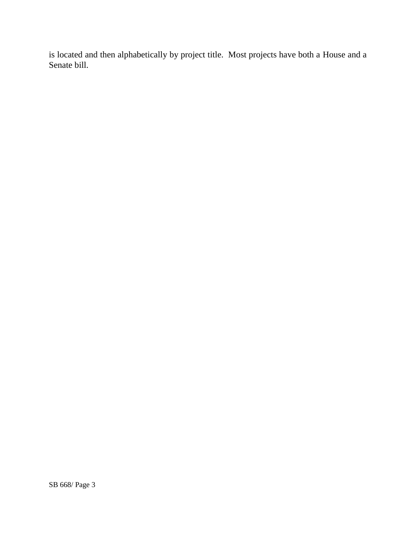is located and then alphabetically by project title. Most projects have both a House and a Senate bill.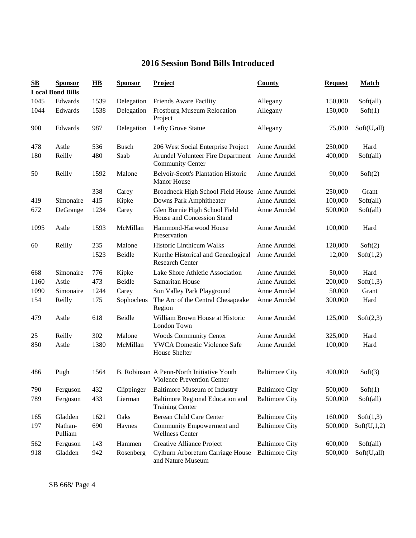# **2016 Session Bond Bills Introduced**

| $\mathbf{S}\mathbf{B}$ | <b>Sponsor</b><br><b>Local Bond Bills</b> | $\overline{HB}$ | <b>Sponsor</b> | <b>Project</b>                                                          | <b>County</b>         | <b>Request</b> | <b>Match</b> |
|------------------------|-------------------------------------------|-----------------|----------------|-------------------------------------------------------------------------|-----------------------|----------------|--------------|
| 1045                   | Edwards                                   | 1539            | Delegation     | Friends Aware Facility                                                  | Allegany              | 150,000        | Soft(all)    |
| 1044                   | Edwards                                   | 1538            | Delegation     | <b>Frostburg Museum Relocation</b><br>Project                           | Allegany              | 150,000        | Soft(1)      |
| 900                    | Edwards                                   | 987             | Delegation     | Lefty Grove Statue                                                      | Allegany              | 75,000         | Soft(U,all)  |
| 478                    | Astle                                     | 536             | <b>Busch</b>   | 206 West Social Enterprise Project                                      | Anne Arundel          | 250,000        | Hard         |
| 180                    | Reilly                                    | 480             | Saab           | Arundel Volunteer Fire Department<br><b>Community Center</b>            | Anne Arundel          | 400,000        | Soft(all)    |
| 50                     | Reilly                                    | 1592            | Malone         | <b>Belvoir-Scott's Plantation Historic</b><br><b>Manor House</b>        | Anne Arundel          | 90,000         | Soft(2)      |
|                        |                                           | 338             | Carey          | Broadneck High School Field House Anne Arundel                          |                       | 250,000        | Grant        |
| 419                    | Simonaire                                 | 415             | Kipke          | Downs Park Amphitheater                                                 | Anne Arundel          | 100,000        | Soft(all)    |
| 672                    | DeGrange                                  | 1234            | Carey          | Glen Burnie High School Field<br>House and Concession Stand             | Anne Arundel          | 500,000        | Soft(all)    |
| 1095                   | Astle                                     | 1593            | McMillan       | Hammond-Harwood House<br>Preservation                                   | Anne Arundel          | 100,000        | Hard         |
| 60                     | Reilly                                    | 235             | Malone         | Historic Linthicum Walks                                                | Anne Arundel          | 120,000        | Soft(2)      |
|                        |                                           | 1523            | Beidle         | Kuethe Historical and Genealogical<br><b>Research Center</b>            | Anne Arundel          | 12,000         | Soft(1,2)    |
| 668                    | Simonaire                                 | 776             | Kipke          | Lake Shore Athletic Association                                         | Anne Arundel          | 50,000         | Hard         |
| 1160                   | Astle                                     | 473             | Beidle         | Samaritan House                                                         | Anne Arundel          | 200,000        | Soft(1,3)    |
| 1090                   | Simonaire                                 | 1244            | Carey          | Sun Valley Park Playground                                              | Anne Arundel          | 50,000         | Grant        |
| 154                    | Reilly                                    | 175             | Sophocleus     | The Arc of the Central Chesapeake<br>Region                             | Anne Arundel          | 300,000        | Hard         |
| 479                    | Astle                                     | 618             | Beidle         | William Brown House at Historic<br>London Town                          | Anne Arundel          | 125,000        | Soft(2,3)    |
| 25                     | Reilly                                    | 302             | Malone         | <b>Woods Community Center</b>                                           | Anne Arundel          | 325,000        | Hard         |
| 850                    | Astle                                     | 1380            | McMillan       | <b>YWCA Domestic Violence Safe</b><br>House Shelter                     | Anne Arundel          | 100,000        | Hard         |
| 486                    | Pugh                                      | 1564            |                | B. Robinson A Penn-North Initiative Youth<br>Violence Prevention Center | <b>Baltimore City</b> | 400,000        | Soft(3)      |
| 790                    | Ferguson                                  | 432             | Clippinger     | <b>Baltimore Museum of Industry</b>                                     | <b>Baltimore City</b> | 500,000        | Soft(1)      |
| 789                    | Ferguson                                  | 433             | Lierman        | Baltimore Regional Education and<br><b>Training Center</b>              | <b>Baltimore City</b> | 500,000        | Soft(all)    |
| 165                    | Gladden                                   | 1621            | Oaks           | Berean Child Care Center                                                | <b>Baltimore City</b> | 160,000        | Soft(1,3)    |
| 197                    | Nathan-<br>Pulliam                        | 690             | Haynes         | Community Empowerment and<br><b>Wellness Center</b>                     | <b>Baltimore City</b> | 500,000        | Soft(U,1,2)  |
| 562                    | Ferguson                                  | 143             | Hammen         | Creative Alliance Project                                               | <b>Baltimore City</b> | 600,000        | Soft(all)    |
| 918                    | Gladden                                   | 942             | Rosenberg      | Cylburn Arboretum Carriage House<br>and Nature Museum                   | <b>Baltimore City</b> | 500,000        | Soft(U,all)  |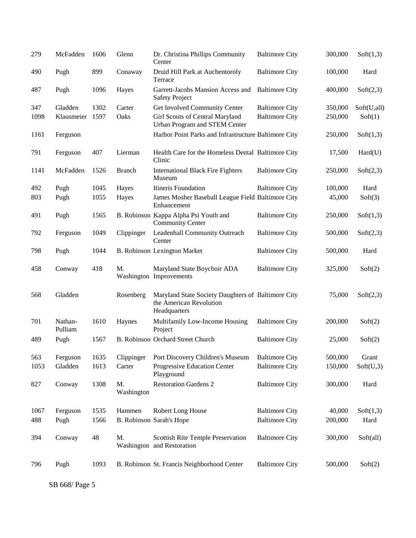| 279  | McFadden           | 1606 | Glenn            | Dr. Christina Phillips Community<br>Center                                                    | <b>Baltimore City</b> | 300,000 | Soft(1,3)   |
|------|--------------------|------|------------------|-----------------------------------------------------------------------------------------------|-----------------------|---------|-------------|
| 490  | Pugh               | 899  | Conaway          | Druid Hill Park at Auchentoroly<br>Terrace                                                    | <b>Baltimore City</b> | 100,000 | Hard        |
| 487  | Pugh               | 1096 | Hayes            | Garrett-Jacobs Mansion Access and<br><b>Safety Project</b>                                    | <b>Baltimore City</b> | 400,000 | Soft(2,3)   |
| 347  | Gladden            | 1302 | Carter           | Get Involved Community Center                                                                 | <b>Baltimore City</b> | 350,000 | Soft(U,all) |
| 1098 | Klausmeier         | 1597 | Oaks             | Girl Scouts of Central Maryland<br>Urban Program and STEM Center                              | <b>Baltimore City</b> | 250,000 | Soft(1)     |
| 1161 | Ferguson           |      |                  | Harbor Point Parks and Infrastructure Baltimore City                                          |                       | 250,000 | Soft(1,3)   |
| 791  | Ferguson           | 407  | Lierman          | Health Care for the Homeless Dental Baltimore City<br>Clinic                                  |                       | 17,500  | Hard(U)     |
| 1141 | McFadden           | 1526 | <b>Branch</b>    | <b>International Black Fire Fighters</b><br>Museum                                            | <b>Baltimore City</b> | 250,000 | Soft(2,3)   |
| 492  | Pugh               | 1045 | Hayes            | Itineris Foundation                                                                           | <b>Baltimore City</b> | 100,000 | Hard        |
| 803  | Pugh               | 1055 | Hayes            | James Mosher Baseball League Field Baltimore City<br>Enhancement                              |                       | 45,000  | Soft(3)     |
| 491  | Pugh               | 1565 |                  | B. Robinson Kappa Alpha Psi Youth and<br><b>Community Center</b>                              | <b>Baltimore City</b> | 250,000 | Soft(1,3)   |
| 792  | Ferguson           | 1049 | Clippinger       | Leadenhall Community Outreach<br>Center                                                       | <b>Baltimore City</b> | 500,000 | Soft(2,3)   |
| 798  | Pugh               | 1044 |                  | <b>B. Robinson Lexington Market</b>                                                           | <b>Baltimore City</b> | 500,000 | Hard        |
| 458  | Conway             | 418  | M.               | Maryland State Boychoir ADA<br>Washington Improvements                                        | <b>Baltimore City</b> | 325,000 | Soft(2)     |
| 568  | Gladden            |      | Rosenberg        | Maryland State Society Daughters of Baltimore City<br>the American Revolution<br>Headquarters |                       | 75,000  | Soft(2,3)   |
| 701  | Nathan-<br>Pulliam | 1610 | Haynes           | Multifamily Low-Income Housing<br>Project                                                     | <b>Baltimore City</b> | 200,000 | Soft(2)     |
| 489  | Pugh               | 1567 |                  | B. Robinson Orchard Street Church                                                             | <b>Baltimore City</b> | 25,000  | Soft(2)     |
| 563  | Ferguson           | 1635 | Clippinger       | Port Discovery Children's Museum                                                              | <b>Baltimore City</b> | 500,000 | Grant       |
| 1053 | Gladden            | 1613 | Carter           | Progressive Education Center<br>Playground                                                    | <b>Baltimore City</b> | 150,000 | Soft(U,3)   |
| 827  | Conway             | 1308 | M.<br>Washington | <b>Restoration Gardens 2</b>                                                                  | <b>Baltimore City</b> | 300,000 | Hard        |
| 1067 | Ferguson           | 1535 | Hammen           | Robert Long House                                                                             | <b>Baltimore City</b> | 40,000  | Soft(1,3)   |
| 488  | Pugh               | 1566 |                  | B. Robinson Sarah's Hope                                                                      | <b>Baltimore City</b> | 200,000 | Hard        |
|      |                    |      |                  |                                                                                               |                       |         |             |
| 394  | Conway             | 48   | M.               | Scottish Rite Temple Preservation<br>Washington and Restoration                               | <b>Baltimore City</b> | 300,000 | Soft(all)   |
| 796  | Pugh               | 1093 |                  | B. Robinson St. Francis Neighborhood Center                                                   | <b>Baltimore City</b> | 500,000 | Soft(2)     |

SB 668/ Page 5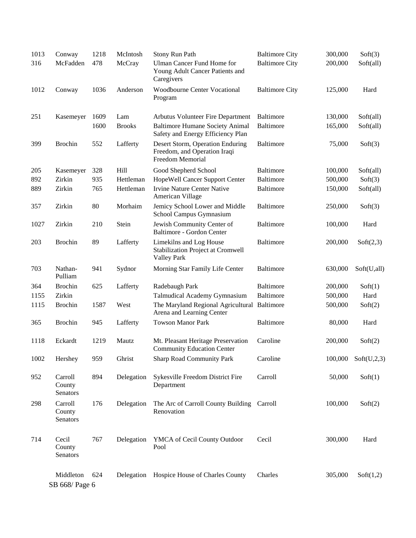| 1013 | Conway                        | 1218 | McIntosh      | Stony Run Path                                                                       | <b>Baltimore City</b> | 300,000 | Soft(3)     |
|------|-------------------------------|------|---------------|--------------------------------------------------------------------------------------|-----------------------|---------|-------------|
| 316  | McFadden                      | 478  | McCray        | <b>Ulman Cancer Fund Home for</b><br>Young Adult Cancer Patients and<br>Caregivers   | <b>Baltimore City</b> | 200,000 | Soft(all)   |
| 1012 | Conway                        | 1036 | Anderson      | <b>Woodbourne Center Vocational</b><br>Program                                       | <b>Baltimore City</b> | 125,000 | Hard        |
| 251  | Kasemeyer                     | 1609 | Lam           | Arbutus Volunteer Fire Department                                                    | Baltimore             | 130,000 | Soft(all)   |
|      |                               | 1600 | <b>Brooks</b> | <b>Baltimore Humane Society Animal</b><br>Safety and Energy Efficiency Plan          | <b>Baltimore</b>      | 165,000 | Soft(all)   |
| 399  | <b>Brochin</b>                | 552  | Lafferty      | Desert Storm, Operation Enduring<br>Freedom, and Operation Iraqi<br>Freedom Memorial | <b>Baltimore</b>      | 75,000  | Soft(3)     |
| 205  | Kasemeyer                     | 328  | Hill          | Good Shepherd School                                                                 | Baltimore             | 100,000 | Soft(all)   |
| 892  | Zirkin                        | 935  | Hettleman     | HopeWell Cancer Support Center                                                       | <b>Baltimore</b>      | 500,000 | Soft(3)     |
| 889  | Zirkin                        | 765  | Hettleman     | <b>Irvine Nature Center Native</b><br>American Village                               | <b>Baltimore</b>      | 150,000 | Soft(all)   |
| 357  | Zirkin                        | 80   | Morhaim       | Jemicy School Lower and Middle<br>School Campus Gymnasium                            | <b>Baltimore</b>      | 250,000 | Soft(3)     |
| 1027 | Zirkin                        | 210  | Stein         | Jewish Community Center of<br>Baltimore - Gordon Center                              | <b>Baltimore</b>      | 100,000 | Hard        |
| 203  | <b>Brochin</b>                | 89   | Lafferty      | Limekilns and Log House<br>Stabilization Project at Cromwell<br><b>Valley Park</b>   | <b>Baltimore</b>      | 200,000 | Soft(2,3)   |
| 703  | Nathan-<br>Pulliam            | 941  | Sydnor        | Morning Star Family Life Center                                                      | <b>Baltimore</b>      | 630,000 | Soft(U,all) |
| 364  | <b>Brochin</b>                | 625  | Lafferty      | Radebaugh Park                                                                       | <b>Baltimore</b>      | 200,000 | Soft(1)     |
| 1155 | Zirkin                        |      |               | Talmudical Academy Gymnasium                                                         | <b>Baltimore</b>      | 500,000 | Hard        |
| 1115 | <b>Brochin</b>                | 1587 | West          | The Maryland Regional Agricultural Baltimore<br>Arena and Learning Center            |                       | 500,000 | Soft(2)     |
| 365  | <b>Brochin</b>                | 945  | Lafferty      | <b>Towson Manor Park</b>                                                             | <b>Baltimore</b>      | 80,000  | Hard        |
| 1118 | Eckardt                       | 1219 | Mautz         | Mt. Pleasant Heritage Preservation<br><b>Community Education Center</b>              | Caroline              | 200,000 | Soft(2)     |
| 1002 | Hershey                       | 959  | Ghrist        | <b>Sharp Road Community Park</b>                                                     | Caroline              | 100,000 | Soft(U,2,3) |
| 952  | Carroll<br>County<br>Senators | 894  | Delegation    | Sykesville Freedom District Fire<br>Department                                       | Carroll               | 50,000  | Soft(1)     |
| 298  | Carroll<br>County<br>Senators | 176  | Delegation    | The Arc of Carroll County Building Carroll<br>Renovation                             |                       | 100,000 | Soft(2)     |
| 714  | Cecil<br>County<br>Senators   | 767  | Delegation    | YMCA of Cecil County Outdoor<br>Pool                                                 | Cecil                 | 300,000 | Hard        |
|      | Middleton<br>SB 668/ Page 6   | 624  | Delegation    | Hospice House of Charles County                                                      | Charles               | 305,000 | Soft(1,2)   |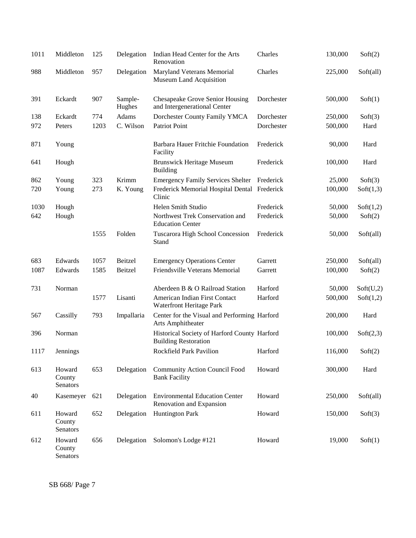| 1011 | Middleton                    | 125  | Delegation        | Indian Head Center for the Arts<br>Renovation                               | Charles    | 130,000 | Soft(2)   |
|------|------------------------------|------|-------------------|-----------------------------------------------------------------------------|------------|---------|-----------|
| 988  | Middleton                    | 957  | Delegation        | Maryland Veterans Memorial<br>Museum Land Acquisition                       | Charles    | 225,000 | Soft(all) |
| 391  | Eckardt                      | 907  | Sample-<br>Hughes | <b>Chesapeake Grove Senior Housing</b><br>and Intergenerational Center      | Dorchester | 500,000 | Soft(1)   |
| 138  | Eckardt                      | 774  | Adams             | Dorchester County Family YMCA                                               | Dorchester | 250,000 | Soft(3)   |
| 972  | Peters                       | 1203 | C. Wilson         | Patriot Point                                                               | Dorchester | 500,000 | Hard      |
| 871  | Young                        |      |                   | Barbara Hauer Fritchie Foundation<br>Facility                               | Frederick  | 90,000  | Hard      |
| 641  | Hough                        |      |                   | <b>Brunswick Heritage Museum</b><br><b>Building</b>                         | Frederick  | 100,000 | Hard      |
| 862  | Young                        | 323  | Krimm             | <b>Emergency Family Services Shelter</b>                                    | Frederick  | 25,000  | Soft(3)   |
| 720  | Young                        | 273  | K. Young          | Frederick Memorial Hospital Dental Frederick<br>Clinic                      |            | 100,000 | Soft(1,3) |
| 1030 | Hough                        |      |                   | Helen Smith Studio                                                          | Frederick  | 50,000  | Soft(1,2) |
| 642  | Hough                        |      |                   | Northwest Trek Conservation and<br><b>Education Center</b>                  | Frederick  | 50,000  | Soft(2)   |
|      |                              | 1555 | Folden            | Tuscarora High School Concession<br>Stand                                   | Frederick  | 50,000  | Soft(all) |
| 683  | Edwards                      | 1057 | Beitzel           | <b>Emergency Operations Center</b>                                          | Garrett    | 250,000 | Soft(all) |
| 1087 | Edwards                      | 1585 | Beitzel           | Friendsville Veterans Memorial                                              | Garrett    | 100,000 | Soft(2)   |
| 731  | Norman                       |      |                   | Aberdeen B & O Railroad Station                                             | Harford    | 50,000  | Soft(U,2) |
|      |                              | 1577 | Lisanti           | American Indian First Contact<br>Waterfront Heritage Park                   | Harford    | 500,000 | Soft(1,2) |
| 567  | Cassilly                     | 793  | Impallaria        | Center for the Visual and Performing Harford<br>Arts Amphitheater           |            | 200,000 | Hard      |
| 396  | Norman                       |      |                   | Historical Society of Harford County Harford<br><b>Building Restoration</b> |            | 100,000 | Soft(2,3) |
| 1117 | Jennings                     |      |                   | Rockfield Park Pavilion                                                     | Harford    | 116,000 | Soft(2)   |
| 613  | Howard<br>County<br>Senators | 653  | Delegation        | <b>Community Action Council Food</b><br><b>Bank Facility</b>                | Howard     | 300,000 | Hard      |
| 40   | Kasemeyer                    | 621  | Delegation        | <b>Environmental Education Center</b><br>Renovation and Expansion           | Howard     | 250,000 | Soft(all) |
| 611  | Howard<br>County<br>Senators | 652  | Delegation        | <b>Huntington Park</b>                                                      | Howard     | 150,000 | Soft(3)   |
| 612  | Howard<br>County<br>Senators | 656  | Delegation        | Solomon's Lodge #121                                                        | Howard     | 19,000  | Soft(1)   |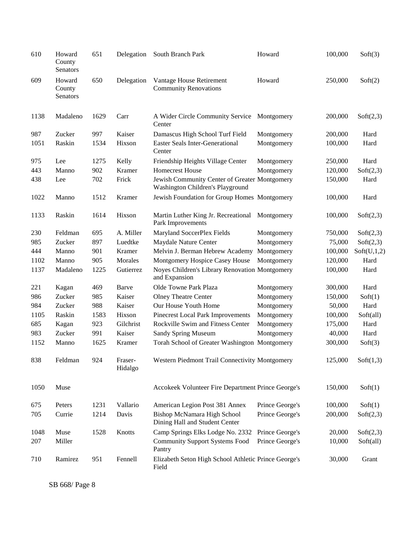| 610  | Howard<br>County<br>Senators | 651  | Delegation         | South Branch Park                                                                 | Howard          | 100,000 | Soft(3)     |
|------|------------------------------|------|--------------------|-----------------------------------------------------------------------------------|-----------------|---------|-------------|
| 609  | Howard<br>County<br>Senators | 650  | Delegation         | Vantage House Retirement<br><b>Community Renovations</b>                          | Howard          | 250,000 | Soft(2)     |
| 1138 | Madaleno                     | 1629 | Carr               | A Wider Circle Community Service<br>Center                                        | Montgomery      | 200,000 | Soft(2,3)   |
| 987  | Zucker                       | 997  | Kaiser             | Damascus High School Turf Field                                                   | Montgomery      | 200,000 | Hard        |
| 1051 | Raskin                       | 1534 | Hixson             | <b>Easter Seals Inter-Generational</b><br>Center                                  | Montgomery      | 100,000 | Hard        |
| 975  | Lee                          | 1275 | Kelly              | Friendship Heights Village Center                                                 | Montgomery      | 250,000 | Hard        |
| 443  | Manno                        | 902  | Kramer             | <b>Homecrest House</b>                                                            | Montgomery      | 120,000 | Soft(2,3)   |
| 438  | Lee                          | 702  | Frick              | Jewish Community Center of Greater Montgomery<br>Washington Children's Playground |                 | 150,000 | Hard        |
| 1022 | Manno                        | 1512 | Kramer             | Jewish Foundation for Group Homes Montgomery                                      |                 | 100,000 | Hard        |
| 1133 | Raskin                       | 1614 | Hixson             | Martin Luther King Jr. Recreational<br>Park Improvements                          | Montgomery      | 100,000 | Soft(2,3)   |
| 230  | Feldman                      | 695  | A. Miller          | Maryland SoccerPlex Fields                                                        | Montgomery      | 750,000 | Soft(2,3)   |
| 985  | Zucker                       | 897  | Luedtke            | Maydale Nature Center                                                             | Montgomery      | 75,000  | Soft(2,3)   |
| 444  | Manno                        | 901  | Kramer             | Melvin J. Berman Hebrew Academy                                                   | Montgomery      | 100,000 | Soft(U,1,2) |
| 1102 | Manno                        | 905  | Morales            | Montgomery Hospice Casey House                                                    | Montgomery      | 120,000 | Hard        |
| 1137 | Madaleno                     | 1225 | Gutierrez          | Noyes Children's Library Renovation Montgomery<br>and Expansion                   |                 | 100,000 | Hard        |
| 221  | Kagan                        | 469  | Barve              | Olde Towne Park Plaza                                                             | Montgomery      | 300,000 | Hard        |
| 986  | Zucker                       | 985  | Kaiser             | <b>Olney Theatre Center</b>                                                       | Montgomery      | 150,000 | Soft(1)     |
| 984  | Zucker                       | 988  | Kaiser             | Our House Youth Home                                                              | Montgomery      | 50,000  | Hard        |
| 1105 | Raskin                       | 1583 | Hixson             | Pinecrest Local Park Improvements                                                 | Montgomery      | 100,000 | Soft(all)   |
| 685  | Kagan                        | 923  | Gilchrist          | Rockville Swim and Fitness Center                                                 | Montgomery      | 175,000 | Hard        |
| 983  | Zucker                       | 991  | Kaiser             | <b>Sandy Spring Museum</b>                                                        | Montgomery      | 40,000  | Hard        |
| 1152 | Manno                        | 1625 | Kramer             | Torah School of Greater Washington Montgomery                                     |                 | 300,000 | Soft(3)     |
| 838  | Feldman                      | 924  | Fraser-<br>Hidalgo | Western Piedmont Trail Connectivity Montgomery                                    |                 | 125,000 | Soft(1,3)   |
| 1050 | Muse                         |      |                    | Accokeek Volunteer Fire Department Prince George's                                |                 | 150,000 | Soft(1)     |
| 675  | Peters                       | 1231 | Vallario           | American Legion Post 381 Annex                                                    | Prince George's | 100,000 | Soft(1)     |
| 705  | Currie                       | 1214 | Davis              | Bishop McNamara High School<br>Dining Hall and Student Center                     | Prince George's | 200,000 | Soft(2,3)   |
| 1048 | Muse                         | 1528 | Knotts             | Camp Springs Elks Lodge No. 2332                                                  | Prince George's | 20,000  | Soft(2,3)   |
| 207  | Miller                       |      |                    | <b>Community Support Systems Food</b><br>Pantry                                   | Prince George's | 10,000  | Soft(all)   |
| 710  | Ramirez                      | 951  | Fennell            | Elizabeth Seton High School Athletic Prince George's<br>Field                     |                 | 30,000  | Grant       |

SB 668/ Page 8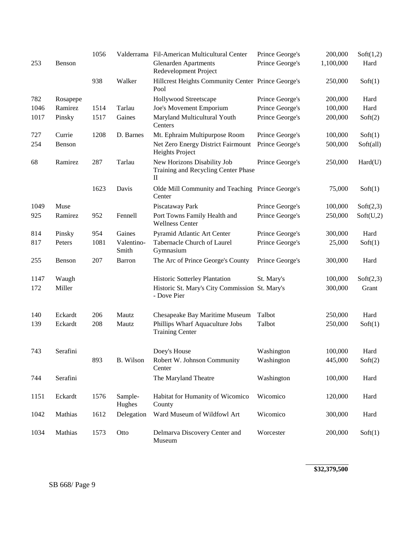|      |          | 1056 |                     | Valderrama Fil-American Multicultural Center                                       | Prince George's | 200,000   | Soft(1,2) |
|------|----------|------|---------------------|------------------------------------------------------------------------------------|-----------------|-----------|-----------|
| 253  | Benson   |      |                     | <b>Glenarden Apartments</b><br>Redevelopment Project                               | Prince George's | 1,100,000 | Hard      |
|      |          | 938  | Walker              | Hillcrest Heights Community Center Prince George's<br>Pool                         |                 | 250,000   | Soft(1)   |
| 782  | Rosapepe |      |                     | Hollywood Streetscape                                                              | Prince George's | 200,000   | Hard      |
| 1046 | Ramirez  | 1514 | Tarlau              | Joe's Movement Emporium                                                            | Prince George's | 100,000   | Hard      |
| 1017 | Pinsky   | 1517 | Gaines              | Maryland Multicultural Youth<br>Centers                                            | Prince George's | 200,000   | Soft(2)   |
| 727  | Currie   | 1208 | D. Barnes           | Mt. Ephraim Multipurpose Room                                                      | Prince George's | 100,000   | Soft(1)   |
| 254  | Benson   |      |                     | Net Zero Energy District Fairmount<br>Heights Project                              | Prince George's | 500,000   | Soft(all) |
| 68   | Ramirez  | 287  | Tarlau              | New Horizons Disability Job<br>Training and Recycling Center Phase<br>$\mathbf{I}$ | Prince George's | 250,000   | Hard(U)   |
|      |          | 1623 | Davis               | Olde Mill Community and Teaching Prince George's<br>Center                         |                 | 75,000    | Soft(1)   |
| 1049 | Muse     |      |                     | Piscataway Park                                                                    | Prince George's | 100,000   | Soft(2,3) |
| 925  | Ramirez  | 952  | Fennell             | Port Towns Family Health and<br><b>Wellness Center</b>                             | Prince George's | 250,000   | Soft(U,2) |
| 814  | Pinsky   | 954  | Gaines              | Pyramid Atlantic Art Center                                                        | Prince George's | 300,000   | Hard      |
| 817  | Peters   | 1081 | Valentino-<br>Smith | Tabernacle Church of Laurel<br>Gymnasium                                           | Prince George's | 25,000    | Soft(1)   |
| 255  | Benson   | 207  | Barron              | The Arc of Prince George's County                                                  | Prince George's | 300,000   | Hard      |
| 1147 | Waugh    |      |                     | Historic Sotterley Plantation                                                      | St. Mary's      | 100,000   | Soft(2,3) |
| 172  | Miller   |      |                     | Historic St. Mary's City Commission St. Mary's<br>- Dove Pier                      |                 | 300,000   | Grant     |
| 140  | Eckardt  | 206  | Mautz               | Chesapeake Bay Maritime Museum                                                     | Talbot          | 250,000   | Hard      |
| 139  | Eckardt  | 208  | Mautz               | Phillips Wharf Aquaculture Jobs<br><b>Training Center</b>                          | Talbot          | 250,000   | Soft(1)   |
| 743  | Serafini |      |                     | Doey's House                                                                       | Washington      | 100,000   | Hard      |
|      |          | 893  | B. Wilson           | Robert W. Johnson Community<br>Center                                              | Washington      | 445,000   | Soft(2)   |
| 744  | Serafini |      |                     | The Maryland Theatre                                                               | Washington      | 100,000   | Hard      |
| 1151 | Eckardt  | 1576 | Sample-<br>Hughes   | Habitat for Humanity of Wicomico<br>County                                         | Wicomico        | 120,000   | Hard      |
| 1042 | Mathias  | 1612 | Delegation          | Ward Museum of Wildfowl Art                                                        | Wicomico        | 300,000   | Hard      |
| 1034 | Mathias  | 1573 | Otto                | Delmarva Discovery Center and<br>Museum                                            | Worcester       | 200,000   | Soft(1)   |